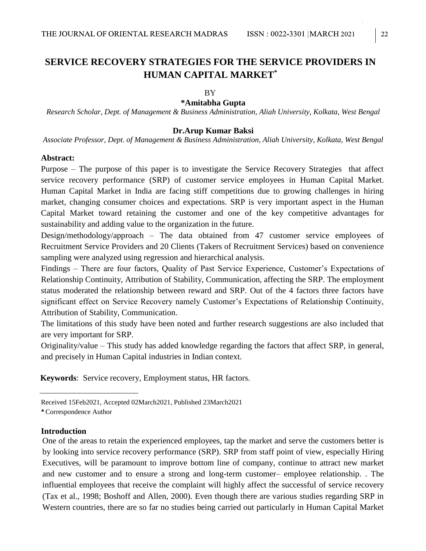# **SERVICE RECOVERY STRATEGIES FOR THE SERVICE PROVIDERS IN HUMAN CAPITAL MARKET\***

#### BY

#### **\*Amitabha Gupta**

*Research Scholar, Dept. of Management & Business Administration, Aliah University, Kolkata, West Bengal*

#### **Dr.Arup Kumar Baksi**

*Associate Professor, Dept. of Management & Business Administration, Aliah University, Kolkata, West Bengal*

#### **Abstract:**

Purpose – The purpose of this paper is to investigate the Service Recovery Strategies that affect service recovery performance (SRP) of customer service employees in Human Capital Market. Human Capital Market in India are facing stiff competitions due to growing challenges in hiring market, changing consumer choices and expectations. SRP is very important aspect in the Human Capital Market toward retaining the customer and one of the key competitive advantages for sustainability and adding value to the organization in the future.

Design/methodology/approach – The data obtained from 47 customer service employees of Recruitment Service Providers and 20 Clients (Takers of Recruitment Services) based on convenience sampling were analyzed using regression and hierarchical analysis.

Findings – There are four factors, Quality of Past Service Experience, Customer's Expectations of Relationship Continuity, Attribution of Stability, Communication, affecting the SRP. The employment status moderated the relationship between reward and SRP. Out of the 4 factors three factors have significant effect on Service Recovery namely Customer's Expectations of Relationship Continuity, Attribution of Stability, Communication.

The limitations of this study have been noted and further research suggestions are also included that are very important for SRP.

Originality/value – This study has added knowledge regarding the factors that affect SRP, in general, and precisely in Human Capital industries in Indian context.

 **Keywords**: Service recovery, Employment status, HR factors.

#### **Introduction**

One of the areas to retain the experienced employees, tap the market and serve the customers better is by looking into service recovery performance (SRP). SRP from staff point of view, especially Hiring Executives, will be paramount to improve bottom line of company, continue to attract new market and new customer and to ensure a strong and long-term customer– employee relationship. . The influential employees that receive the complaint will highly affect the successful of service recovery (Tax et al., 1998; Boshoff and Allen, 2000). Even though there are various studies regarding SRP in Western countries, there are so far no studies being carried out particularly in Human Capital Market

Received 15Feb2021, Accepted 02March2021, Published 23March2021

Correspondence Author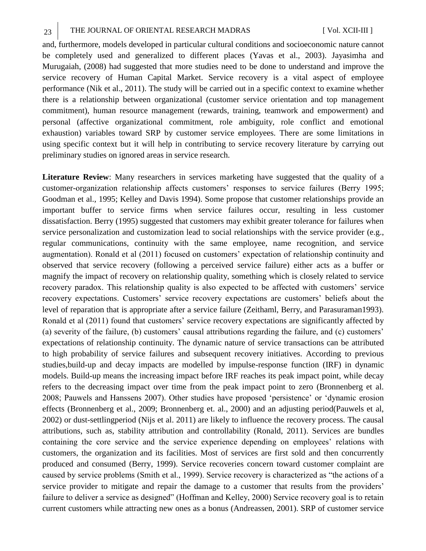and, furthermore, models developed in particular cultural conditions and socioeconomic nature cannot be completely used and generalized to different places (Yavas et al., 2003). Jayasimha and Murugaiah, (2008) had suggested that more studies need to be done to understand and improve the service recovery of Human Capital Market. Service recovery is a vital aspect of employee performance (Nik et al., 2011). The study will be carried out in a specific context to examine whether there is a relationship between organizational (customer service orientation and top management commitment), human resource management (rewards, training, teamwork and empowerment) and personal (affective organizational commitment, role ambiguity, role conflict and emotional exhaustion) variables toward SRP by customer service employees. There are some limitations in using specific context but it will help in contributing to service recovery literature by carrying out preliminary studies on ignored areas in service research.

**Literature Review**: Many researchers in services marketing have suggested that the quality of a customer-organization relationship affects customers' responses to service failures (Berry 1995; Goodman et al., 1995; Kelley and Davis 1994). Some propose that customer relationships provide an important buffer to service firms when service failures occur, resulting in less customer dissatisfaction. Berry (1995) suggested that customers may exhibit greater tolerance for failures when service personalization and customization lead to social relationships with the service provider (e.g., regular communications, continuity with the same employee, name recognition, and service augmentation). Ronald et al (2011) focused on customers' expectation of relationship continuity and observed that service recovery (following a perceived service failure) either acts as a buffer or magnify the impact of recovery on relationship quality, something which is closely related to service recovery paradox. This relationship quality is also expected to be affected with customers' service recovery expectations. Customers' service recovery expectations are customers' beliefs about the level of reparation that is appropriate after a service failure (Zeithaml, Berry, and Parasuraman1993). Ronald et al (2011) found that customers' service recovery expectations are significantly affected by (a) severity of the failure, (b) customers' causal attributions regarding the failure, and (c) customers' expectations of relationship continuity. The dynamic nature of service transactions can be attributed to high probability of service failures and subsequent recovery initiatives. According to previous studies,build-up and decay impacts are modelled by impulse-response function (IRF) in dynamic models. Build-up means the increasing impact before IRF reaches its peak impact point, while decay refers to the decreasing impact over time from the peak impact point to zero (Bronnenberg et al. 2008; Pauwels and Hanssens 2007). Other studies have proposed 'persistence' or 'dynamic erosion effects (Bronnenberg et al., 2009; Bronnenberg et. al., 2000) and an adjusting period(Pauwels et al, 2002) or dust-settlingperiod (Nijs et al. 2011) are likely to influence the recovery process. The causal attributions, such as, stability attribution and controllability (Ronald, 2011). Services are bundles containing the core service and the service experience depending on employees' relations with customers, the organization and its facilities. Most of services are first sold and then concurrently produced and consumed (Berry, 1999). Service recoveries concern toward customer complaint are caused by service problems (Smith et al., 1999). Service recovery is characterized as "the actions of a service provider to mitigate and repair the damage to a customer that results from the providers' failure to deliver a service as designed" (Hoffman and Kelley, 2000) Service recovery goal is to retain current customers while attracting new ones as a bonus (Andreassen, 2001). SRP of customer service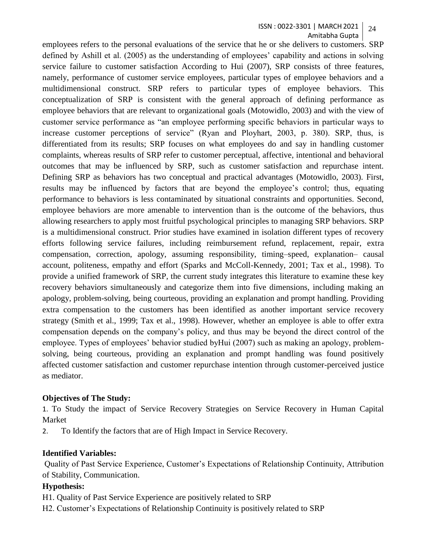employees refers to the personal evaluations of the service that he or she delivers to customers. SRP defined by Ashill et al. (2005) as the understanding of employees' capability and actions in solving service failure to customer satisfaction According to Hui (2007), SRP consists of three features, namely, performance of customer service employees, particular types of employee behaviors and a multidimensional construct. SRP refers to particular types of employee behaviors. This conceptualization of SRP is consistent with the general approach of defining performance as employee behaviors that are relevant to organizational goals (Motowidlo, 2003) and with the view of customer service performance as "an employee performing specific behaviors in particular ways to increase customer perceptions of service" (Ryan and Ployhart, 2003, p. 380). SRP, thus, is differentiated from its results; SRP focuses on what employees do and say in handling customer complaints, whereas results of SRP refer to customer perceptual, affective, intentional and behavioral outcomes that may be influenced by SRP, such as customer satisfaction and repurchase intent. Defining SRP as behaviors has two conceptual and practical advantages (Motowidlo, 2003). First, results may be influenced by factors that are beyond the employee's control; thus, equating performance to behaviors is less contaminated by situational constraints and opportunities. Second, employee behaviors are more amenable to intervention than is the outcome of the behaviors, thus allowing researchers to apply most fruitful psychological principles to managing SRP behaviors. SRP is a multidimensional construct. Prior studies have examined in isolation different types of recovery efforts following service failures, including reimbursement refund, replacement, repair, extra compensation, correction, apology, assuming responsibility, timing–speed, explanation– causal account, politeness, empathy and effort (Sparks and McColl-Kennedy, 2001; Tax et al., 1998). To provide a unified framework of SRP, the current study integrates this literature to examine these key recovery behaviors simultaneously and categorize them into five dimensions, including making an apology, problem-solving, being courteous, providing an explanation and prompt handling. Providing extra compensation to the customers has been identified as another important service recovery strategy (Smith et al., 1999; Tax et al., 1998). However, whether an employee is able to offer extra compensation depends on the company's policy, and thus may be beyond the direct control of the employee. Types of employees' behavior studied byHui (2007) such as making an apology, problemsolving, being courteous, providing an explanation and prompt handling was found positively affected customer satisfaction and customer repurchase intention through customer-perceived justice as mediator.

## **Objectives of The Study:**

1. To Study the impact of Service Recovery Strategies on Service Recovery in Human Capital Market

2. To Identify the factors that are of High Impact in Service Recovery.

## **Identified Variables:**

Quality of Past Service Experience, Customer's Expectations of Relationship Continuity, Attribution of Stability, Communication.

## **Hypothesis:**

H1. Quality of Past Service Experience are positively related to SRP

H2. Customer's Expectations of Relationship Continuity is positively related to SRP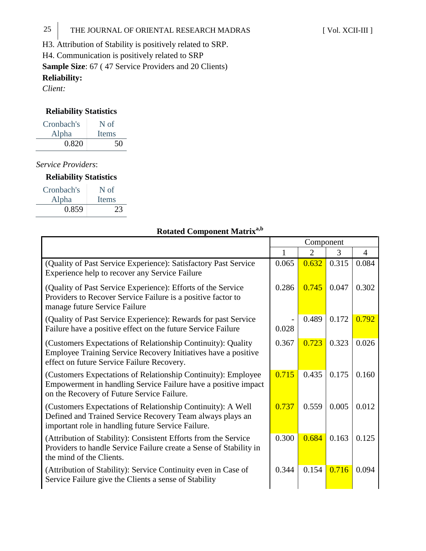H3. Attribution of Stability is positively related to SRP. H4. Communication is positively related to SRP **Sample Size**: 67 ( 47 Service Providers and 20 Clients) **Reliability:**  *Client:* 

# **Reliability Statistics**

| Cronbach's | N of         |
|------------|--------------|
| Alpha      | <b>Items</b> |
| 0.820      | 50           |

*Service Providers*:

| <b>Reliability Statistics</b> |  |
|-------------------------------|--|
|-------------------------------|--|

| Cronbach's | N of  |
|------------|-------|
| Alpha      | Items |
| 0.859      | 23    |

# **Rotated Component Matrixa,b**

|                                                                                                                                                                                | Component |                |       |                |
|--------------------------------------------------------------------------------------------------------------------------------------------------------------------------------|-----------|----------------|-------|----------------|
|                                                                                                                                                                                | 1         | $\mathfrak{2}$ | 3     | $\overline{4}$ |
| (Quality of Past Service Experience): Satisfactory Past Service<br>Experience help to recover any Service Failure                                                              | 0.065     | 0.632          | 0.315 | 0.084          |
| (Quality of Past Service Experience): Efforts of the Service<br>Providers to Recover Service Failure is a positive factor to<br>manage future Service Failure                  | 0.286     | 0.745          | 0.047 | 0.302          |
| (Quality of Past Service Experience): Rewards for past Service<br>Failure have a positive effect on the future Service Failure                                                 | 0.028     | 0.489          | 0.172 | 0.792          |
| (Customers Expectations of Relationship Continuity): Quality<br>Employee Training Service Recovery Initiatives have a positive<br>effect on future Service Failure Recovery.   | 0.367     | 0.723          | 0.323 | 0.026          |
| (Customers Expectations of Relationship Continuity): Employee<br>Empowerment in handling Service Failure have a positive impact<br>on the Recovery of Future Service Failure.  | 0.715     | 0.435          | 0.175 | 0.160          |
| (Customers Expectations of Relationship Continuity): A Well<br>Defined and Trained Service Recovery Team always plays an<br>important role in handling future Service Failure. | 0.737     | 0.559          | 0.005 | 0.012          |
| (Attribution of Stability): Consistent Efforts from the Service<br>Providers to handle Service Failure create a Sense of Stability in<br>the mind of the Clients.              | 0.300     | 0.684          | 0.163 | 0.125          |
| (Attribution of Stability): Service Continuity even in Case of<br>Service Failure give the Clients a sense of Stability                                                        | 0.344     | 0.154          | 0.716 | 0.094          |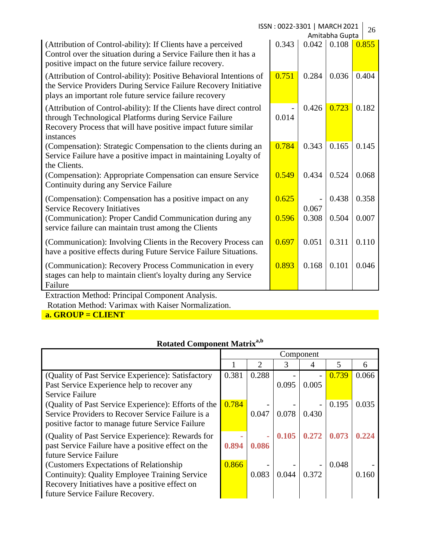| ISSN: 0022-3301   MARCH 2021<br>Amitabha Gupta                                                                                                                                                                |       |       |       |       |
|---------------------------------------------------------------------------------------------------------------------------------------------------------------------------------------------------------------|-------|-------|-------|-------|
| (Attribution of Control-ability): If Clients have a perceived<br>Control over the situation during a Service Failure then it has a<br>positive impact on the future service failure recovery.                 | 0.343 | 0.042 | 0.108 | 0.855 |
| (Attribution of Control-ability): Positive Behavioral Intentions of<br>the Service Providers During Service Failure Recovery Initiative<br>plays an important role future service failure recovery            | 0.751 | 0.284 | 0.036 | 0.404 |
| (Attribution of Control-ability): If the Clients have direct control<br>through Technological Platforms during Service Failure<br>Recovery Process that will have positive impact future similar<br>instances | 0.014 | 0.426 | 0.723 | 0.182 |
| (Compensation): Strategic Compensation to the clients during an<br>Service Failure have a positive impact in maintaining Loyalty of<br>the Clients.                                                           | 0.784 | 0.343 | 0.165 | 0.145 |
| (Compensation): Appropriate Compensation can ensure Service<br>Continuity during any Service Failure                                                                                                          | 0.549 | 0.434 | 0.524 | 0.068 |
| (Compensation): Compensation has a positive impact on any<br><b>Service Recovery Initiatives</b>                                                                                                              | 0.625 | 0.067 | 0.438 | 0.358 |
| (Communication): Proper Candid Communication during any<br>service failure can maintain trust among the Clients                                                                                               | 0.596 | 0.308 | 0.504 | 0.007 |
| (Communication): Involving Clients in the Recovery Process can<br>have a positive effects during Future Service Failure Situations.                                                                           | 0.697 | 0.051 | 0.311 | 0.110 |
| (Communication): Recovery Process Communication in every<br>stages can help to maintain client's loyalty during any Service<br>Failure                                                                        | 0.893 | 0.168 | 0.101 | 0.046 |
| Extraction Method: Principal Component Analysis                                                                                                                                                               |       |       |       |       |

Extraction Method: Principal Component Analysis. Rotation Method: Varimax with Kaiser Normalization. **a. GROUP = CLIENT**

|                                                                                                                                                                                        | Component |            |       |       |       |       |
|----------------------------------------------------------------------------------------------------------------------------------------------------------------------------------------|-----------|------------|-------|-------|-------|-------|
|                                                                                                                                                                                        |           | 2          | 3     | 4     | 5     | 6     |
| (Quality of Past Service Experience): Satisfactory<br>Past Service Experience help to recover any<br><b>Service Failure</b>                                                            | 0.381     | 0.288      | 0.095 | 0.005 | 0.739 | 0.066 |
| (Quality of Past Service Experience): Efforts of the<br>Service Providers to Recover Service Failure is a<br>positive factor to manage future Service Failure                          | 0.784     | 0.047      | 0.078 | 0.430 | 0.195 | 0.035 |
| (Quality of Past Service Experience): Rewards for<br>past Service Failure have a positive effect on the<br>future Service Failure                                                      | 0.894     | -<br>0.086 | 0.105 | 0.272 | 0.073 | 0.224 |
| (Customers Expectations of Relationship)<br><b>Continuity: Quality Employee Training Service</b><br>Recovery Initiatives have a positive effect on<br>future Service Failure Recovery. | 0.866     | 0.083      | 0.044 | 0.372 | 0.048 | 0.160 |

# **Rotated Component Matrixa,b**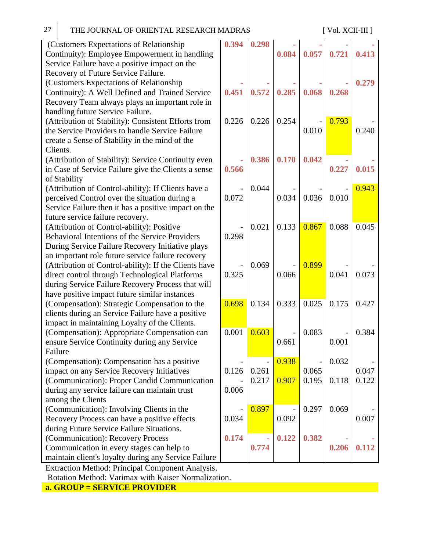| 27 | THE JOURNAL OF ORIENTAL RESEARCH MADRAS |
|----|-----------------------------------------|

[ Vol. XCII-III ]

| (Customers Expectations of Relationship)                                             | 0.394 |
|--------------------------------------------------------------------------------------|-------|
| Continuity): Employee Empowerment in handling                                        |       |
| Service Failure have a positive impact on the<br>Recovery of Future Service Failure. |       |
| (Customers Expectations of Relationship                                              |       |
| Continuity): A Well Defined and Trained Service                                      | 0.451 |
| Recovery Team always plays an important role in                                      |       |
| handling future Service Failure.                                                     |       |
| (Attribution of Stability): Consistent Efforts from                                  | 0.226 |
| the Service Providers to handle Service Failure                                      |       |
| create a Sense of Stability in the mind of the                                       |       |
| Clients.                                                                             |       |
| (Attribution of Stability): Service Continuity even                                  |       |
| in Case of Service Failure give the Clients a sense                                  | 0.566 |
| of Stability                                                                         |       |
| (Attribution of Control-ability): If Clients have a                                  |       |
| perceived Control over the situation during a                                        | 0.072 |
| Service Failure then it has a positive impact on the                                 |       |
| future service failure recovery.                                                     |       |
| (Attribution of Control-ability): Positive                                           |       |
| Behavioral Intentions of the Service Providers                                       | 0.298 |
| During Service Failure Recovery Initiative plays                                     |       |
| an important role future service failure recovery                                    |       |
| (Attribution of Control-ability): If the Clients have                                |       |
| direct control through Technological Platforms                                       | 0.325 |
| during Service Failure Recovery Process that will                                    |       |
| have positive impact future similar instances                                        |       |
| (Compensation): Strategic Compensation to the                                        | 0.698 |
| clients during an Service Failure have a positive                                    |       |
| impact in maintaining Loyalty of the Clients.                                        |       |
| (Compensation): Appropriate Compensation can                                         | 0.001 |
| ensure Service Continuity during any Service                                         |       |
| Failure                                                                              |       |
| (Compensation): Compensation has a positive                                          |       |
| impact on any Service Recovery Initiatives                                           | 0.126 |
| (Communication): Proper Candid Communication                                         |       |
| during any service failure can maintain trust                                        | 0.006 |
| among the Clients                                                                    |       |
| (Communication): Involving Clients in the                                            |       |
| Recovery Process can have a positive effects                                         | 0.034 |
| during Future Service Failure Situations.                                            |       |
| (Communication): Recovery Process                                                    | 0.174 |
| Communication in every stages can help to                                            |       |
| maintain client's loyalty during any Service Failure                                 |       |

**0.394 0.298 - 0.084 - 0.057 - 0.721 - 0.413 - 0.451 - 0.572 - 0.285 - 0.068 - 0.268 0.279**  $6 \mid 0.226 \mid 0.254 \mid$  -0.010 0.793 0.240 **- 0.566 0.386 0.170 0.042 - 0.227 - 0.015** -  $\overline{2}$  $0.044$ 0.034 - 0.036 - 0.010 0.943 -  $\overline{3}$  $0.021 \mid 0.133 \mid 0.867 \mid 0.088 \mid 0.045$ -  $\overline{5}$ 0.069 - 0.066 0.899 0.041 - 0.073  $0.134 \mid 0.333 \mid 0.025 \mid 0.175 \mid 0.427$  $0.603$  -0.661  $0.083$  -0.001 0.384 -  $\mathfrak{h}$ - 0.261  $0.938$  -0.065  $0.032$ 0.047 -  $\mathfrak{S}$  $0.217$  0.907 0.195 0.118 0.122 -  $\overline{1}$  $0.897$  -0.092  $0.297 \mid 0.069$ 0.007 **0.174 - 0.774 0.122 0.382 - 0.206 - 0.112**

Extraction Method: Principal Component Analysis. Rotation Method: Varimax with Kaiser Normalization.

**a. GROUP = SERVICE PROVIDER**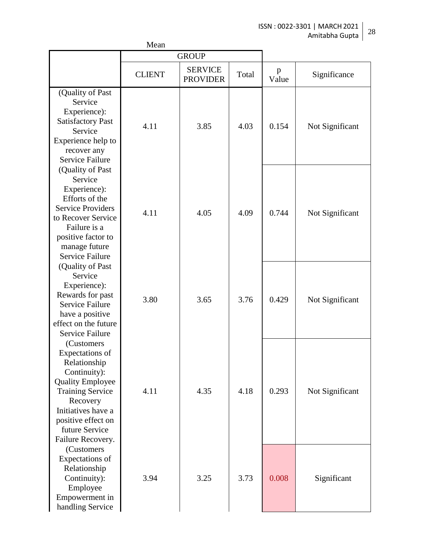|                                                                                                                                                                                                                     | Mean          |                                   |       |            |                 |
|---------------------------------------------------------------------------------------------------------------------------------------------------------------------------------------------------------------------|---------------|-----------------------------------|-------|------------|-----------------|
|                                                                                                                                                                                                                     |               | <b>GROUP</b>                      |       |            |                 |
|                                                                                                                                                                                                                     | <b>CLIENT</b> | <b>SERVICE</b><br><b>PROVIDER</b> | Total | p<br>Value | Significance    |
| (Quality of Past<br>Service<br>Experience):<br><b>Satisfactory Past</b><br>Service<br>Experience help to<br>recover any<br><b>Service Failure</b>                                                                   | 4.11          | 3.85                              | 4.03  | 0.154      | Not Significant |
| (Quality of Past)<br>Service<br>Experience):<br>Efforts of the<br><b>Service Providers</b><br>to Recover Service<br>Failure is a<br>positive factor to<br>manage future<br><b>Service Failure</b>                   | 4.11          | 4.05                              | 4.09  | 0.744      | Not Significant |
| (Quality of Past<br>Service<br>Experience):<br>Rewards for past<br><b>Service Failure</b><br>have a positive<br>effect on the future<br><b>Service Failure</b>                                                      | 3.80          | 3.65                              | 3.76  | 0.429      | Not Significant |
| (Customers)<br>Expectations of<br>Relationship<br>Continuity):<br><b>Quality Employee</b><br><b>Training Service</b><br>Recovery<br>Initiatives have a<br>positive effect on<br>future Service<br>Failure Recovery. | 4.11          | 4.35                              | 4.18  | 0.293      | Not Significant |
| (Customers<br>Expectations of<br>Relationship<br>Continuity):<br>Employee<br>Empowerment in<br>handling Service                                                                                                     | 3.94          | 3.25                              | 3.73  | 0.008      | Significant     |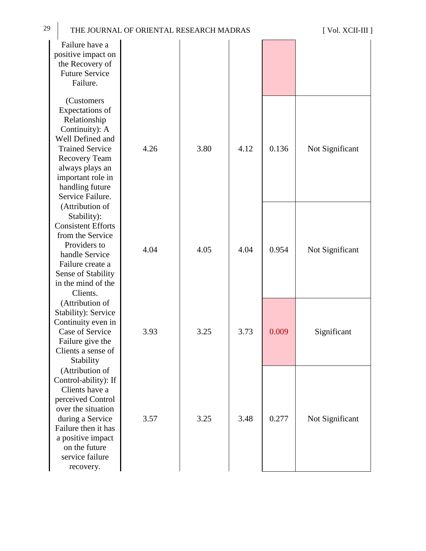| 29<br>THE JOURNAL OF ORIENTAL RESEARCH MADRAS                                                                                                                                                                         | [ Vol. XCII-III ] |      |      |       |                 |
|-----------------------------------------------------------------------------------------------------------------------------------------------------------------------------------------------------------------------|-------------------|------|------|-------|-----------------|
| Failure have a<br>positive impact on<br>the Recovery of<br><b>Future Service</b><br>Failure.                                                                                                                          |                   |      |      |       |                 |
| (Customers<br>Expectations of<br>Relationship<br>Continuity): A<br>Well Defined and<br><b>Trained Service</b><br><b>Recovery Team</b><br>always plays an<br>important role in<br>handling future<br>Service Failure.  | 4.26              | 3.80 | 4.12 | 0.136 | Not Significant |
| (Attribution of<br>Stability):<br><b>Consistent Efforts</b><br>from the Service<br>Providers to<br>handle Service<br>Failure create a<br>Sense of Stability<br>in the mind of the<br>Clients.                         | 4.04              | 4.05 | 4.04 | 0.954 | Not Significant |
| (Attribution of<br>Stability): Service<br>Continuity even in<br>Case of Service<br>Failure give the<br>Clients a sense of<br>Stability                                                                                | 3.93              | 3.25 | 3.73 | 0.009 | Significant     |
| (Attribution of<br>Control-ability): If<br>Clients have a<br>perceived Control<br>over the situation<br>during a Service<br>Failure then it has<br>a positive impact<br>on the future<br>service failure<br>recovery. | 3.57              | 3.25 | 3.48 | 0.277 | Not Significant |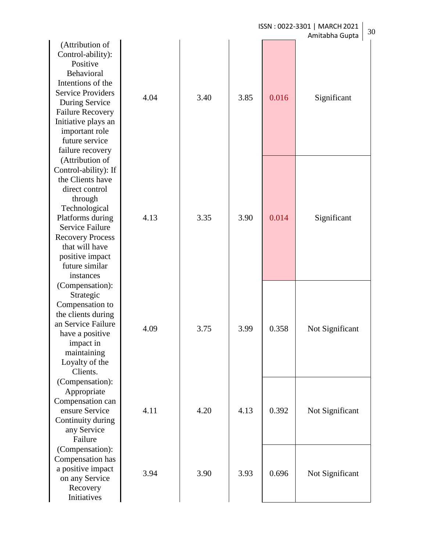|                                                                                                                                                                                                                                                        |      |      |      |       | ISSN: 0022-3301   MARCH 2021<br>30<br>Amitabha Gupta |
|--------------------------------------------------------------------------------------------------------------------------------------------------------------------------------------------------------------------------------------------------------|------|------|------|-------|------------------------------------------------------|
| (Attribution of<br>Control-ability):<br>Positive<br>Behavioral<br>Intentions of the<br><b>Service Providers</b><br>During Service<br><b>Failure Recovery</b><br>Initiative plays an<br>important role<br>future service<br>failure recovery            | 4.04 | 3.40 | 3.85 | 0.016 | Significant                                          |
| (Attribution of<br>Control-ability): If<br>the Clients have<br>direct control<br>through<br>Technological<br>Platforms during<br><b>Service Failure</b><br><b>Recovery Process</b><br>that will have<br>positive impact<br>future similar<br>instances | 4.13 | 3.35 | 3.90 | 0.014 | Significant                                          |
| (Compensation):<br>Strategic<br>Compensation to<br>the clients during<br>an Service Failure<br>have a positive<br>impact in<br>maintaining<br>Loyalty of the<br>Clients.                                                                               | 4.09 | 3.75 | 3.99 | 0.358 | Not Significant                                      |
| (Compensation):<br>Appropriate<br>Compensation can<br>ensure Service<br>Continuity during<br>any Service<br>Failure                                                                                                                                    | 4.11 | 4.20 | 4.13 | 0.392 | Not Significant                                      |
| (Compensation):<br>Compensation has<br>a positive impact<br>on any Service<br>Recovery<br>Initiatives                                                                                                                                                  | 3.94 | 3.90 | 3.93 | 0.696 | Not Significant                                      |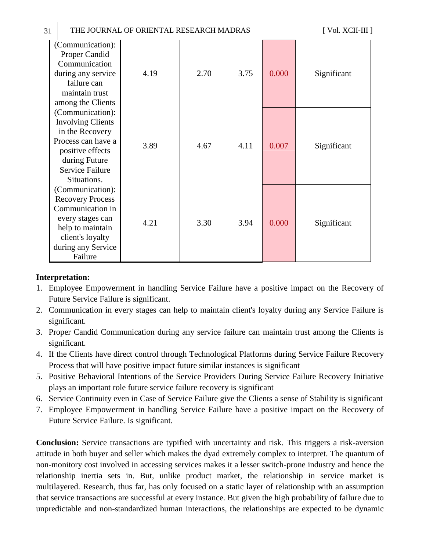| 31 | THE JOURNAL OF ORIENTAL RESEARCH MADRAS                                                                                                                             |      |      |      |       | [ Vol. XCII-III ] |
|----|---------------------------------------------------------------------------------------------------------------------------------------------------------------------|------|------|------|-------|-------------------|
|    | (Communication):<br>Proper Candid<br>Communication<br>during any service<br>failure can<br>maintain trust<br>among the Clients                                      | 4.19 | 2.70 | 3.75 | 0.000 | Significant       |
|    | (Communication):<br><b>Involving Clients</b><br>in the Recovery<br>Process can have a<br>positive effects<br>during Future<br><b>Service Failure</b><br>Situations. | 3.89 | 4.67 | 4.11 | 0.007 | Significant       |
|    | (Communication):<br><b>Recovery Process</b><br>Communication in<br>every stages can<br>help to maintain<br>client's loyalty<br>during any Service<br>Failure        | 4.21 | 3.30 | 3.94 | 0.000 | Significant       |

## **Interpretation:**

- 1. Employee Empowerment in handling Service Failure have a positive impact on the Recovery of Future Service Failure is significant.
- 2. Communication in every stages can help to maintain client's loyalty during any Service Failure is significant.
- 3. Proper Candid Communication during any service failure can maintain trust among the Clients is significant.
- 4. If the Clients have direct control through Technological Platforms during Service Failure Recovery Process that will have positive impact future similar instances is significant
- 5. Positive Behavioral Intentions of the Service Providers During Service Failure Recovery Initiative plays an important role future service failure recovery is significant
- 6. Service Continuity even in Case of Service Failure give the Clients a sense of Stability is significant
- 7. Employee Empowerment in handling Service Failure have a positive impact on the Recovery of Future Service Failure. Is significant.

**Conclusion:** Service transactions are typified with uncertainty and risk. This triggers a risk-aversion attitude in both buyer and seller which makes the dyad extremely complex to interpret. The quantum of non-monitory cost involved in accessing services makes it a lesser switch-prone industry and hence the relationship inertia sets in. But, unlike product market, the relationship in service market is multilayered. Research, thus far, has only focused on a static layer of relationship with an assumption that service transactions are successful at every instance. But given the high probability of failure due to unpredictable and non-standardized human interactions, the relationships are expected to be dynamic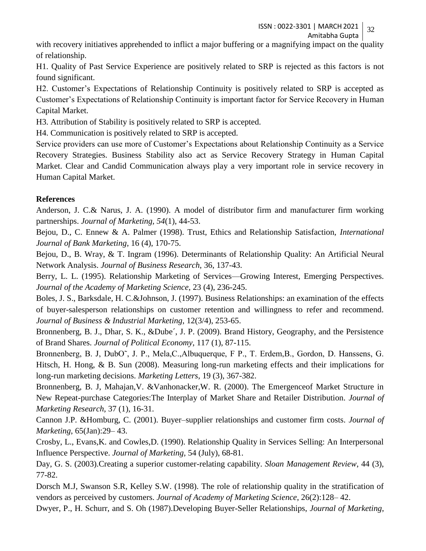ISSN : 0022-3301 | MARCH2021 32

Amitabha Gupta

with recovery initiatives apprehended to inflict a major buffering or a magnifying impact on the quality of relationship.

H1. Quality of Past Service Experience are positively related to SRP is rejected as this factors is not found significant.

H2. Customer's Expectations of Relationship Continuity is positively related to SRP is accepted as Customer's Expectations of Relationship Continuity is important factor for Service Recovery in Human Capital Market.

H3. Attribution of Stability is positively related to SRP is accepted.

H4. Communication is positively related to SRP is accepted.

Service providers can use more of Customer's Expectations about Relationship Continuity as a Service Recovery Strategies. Business Stability also act as Service Recovery Strategy in Human Capital Market. Clear and Candid Communication always play a very important role in service recovery in Human Capital Market.

## **References**

Anderson, J. C.& Narus, J. A. (1990). A model of distributor firm and manufacturer firm working partnerships. *Journal of Marketing, 54*(1), 44-53.

Bejou, D., C. Ennew & A. Palmer (1998). Trust, Ethics and Relationship Satisfaction, *International Journal of Bank Marketing*, 16 (4), 170-75.

Bejou, D., B. Wray, & T. Ingram (1996). Determinants of Relationship Quality: An Artificial Neural Network Analysis. *Journal of Business Research*, 36, 137-43.

Berry, L. L. (1995). Relationship Marketing of Services—Growing Interest, Emerging Perspectives. *Journal of the Academy of Marketing Science*, 23 (4), 236-245.

Boles, J. S., Barksdale, H. C.&Johnson, J. (1997). Business Relationships: an examination of the effects of buyer-salesperson relationships on customer retention and willingness to refer and recommend. *Journal of Business & Industrial Marketing*, 12(3/4), 253-65.

Bronnenberg, B. J., Dhar, S. K., &Dube´, J. P. (2009). Brand History, Geography, and the Persistence of Brand Shares. *Journal of Political Economy*, 117 (1), 87-115.

Bronnenberg, B. J, DubO<sup>\*</sup>, J. P., Mela,C.,Albuquerque, F P., T. Erdem,B., Gordon, D. Hanssens, G. Hitsch, H. Hong, & B. Sun (2008). Measuring long-run marketing effects and their implications for long-run marketing decisions. *Marketing Letters*, 19 (3), 367-382.

Bronnenberg, B. J, Mahajan,V. &Vanhonacker,W. R. (2000). The Emergenceof Market Structure in New Repeat-purchase Categories:The Interplay of Market Share and Retailer Distribution. *Journal of Marketing Research*, 37 (1), 16-31.

Cannon J.P. &Homburg, C. (2001). Buyer–supplier relationships and customer firm costs. *Journal of Marketing*, 65(Jan):29– 43.

Crosby, L., Evans,K. and Cowles,D. (1990). Relationship Quality in Services Selling: An Interpersonal Influence Perspective. *Journal of Marketing,* 54 (July), 68-81.

Day, G. S. (2003).Creating a superior customer-relating capability. *Sloan Management Review*, 44 (3), 77-82.

Dorsch M.J, Swanson S.R, Kelley S.W. (1998). The role of relationship quality in the stratification of vendors as perceived by customers. *Journal of Academy of Marketing Science*, 26(2):128– 42.

Dwyer, P., H. Schurr, and S. Oh (1987).Developing Buyer-Seller Relationships, *Journal of Marketing*,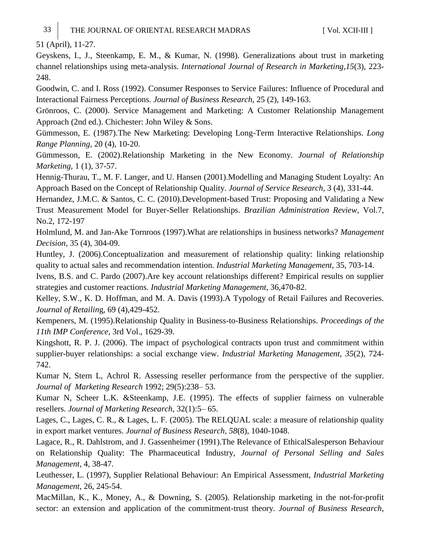51 (April), 11-27.

Geyskens, I., J., Steenkamp, E. M., & Kumar, N. (1998). Generalizations about trust in marketing channel relationships using meta-analysis. *International Journal of Research in Marketing,15*(3), 223- 248.

Goodwin, C. and I. Ross (1992). Consumer Responses to Service Failures: Influence of Procedural and Interactional Fairness Perceptions. *Journal of Business Research*, 25 (2), 149-163.

Grönroos, C. (2000). Service Management and Marketing: A Customer Relationship Management Approach (2nd ed.). Chichester: John Wiley & Sons.

Gümmesson, E. (1987).The New Marketing: Developing Long-Term Interactive Relationships. *Long Range Planning*, 20 (4), 10-20.

Gümmesson, E. (2002).Relationship Marketing in the New Economy. *Journal of Relationship Marketing*, 1 (1), 37-57.

Hennig-Thurau, T., M. F. Langer, and U. Hansen (2001).Modelling and Managing Student Loyalty: An Approach Based on the Concept of Relationship Quality. *Journal of Service Research*, 3 (4), 331-44.

Hernandez, J.M.C. & Santos, C. C. (2010).Development-based Trust: Proposing and Validating a New Trust Measurement Model for Buyer-Seller Relationships. *Brazilian Administration Review*, Vol.7, No.2, 172-197

Holmlund, M. and Jan-Ake Tornroos (1997).What are relationships in business networks? *Management Decision*, 35 (4), 304-09.

Huntley, J. (2006).Conceptualization and measurement of relationship quality: linking relationship quality to actual sales and recommendation intention. *Industrial Marketing Management*, 35, 703-14.

Ivens, B.S. and C. Pardo (2007).Are key account relationships different? Empirical results on supplier strategies and customer reactions. *Industrial Marketing Management*, 36,470-82.

Kelley, S.W., K. D. Hoffman, and M. A. Davis (1993).A Typology of Retail Failures and Recoveries. *Journal of Retailin*g, 69 (4),429-452.

Kempeners, M. (1995).Relationship Quality in Business-to-Business Relationships. *Proceedings of the 11th IMP Conference*, 3rd Vol., 1629-39.

Kingshott, R. P. J. (2006). The impact of psychological contracts upon trust and commitment within supplier-buyer relationships: a social exchange view. *Industrial Marketing Management, 35*(2), 724- 742.

Kumar N, Stern L, Achrol R. Assessing reseller performance from the perspective of the supplier. *Journal of Marketing Research* 1992; 29(5):238– 53.

Kumar N, Scheer L.K. &Steenkamp, J.E. (1995). The effects of supplier fairness on vulnerable resellers. *Journal of Marketing Research*, 32(1):5– 65.

Lages, C., Lages, C. R., & Lages, L. F. (2005). The RELQUAL scale: a measure of relationship quality in export market ventures. *Journal of Business Research, 58*(8), 1040-1048.

Lagace, R., R. Dahlstrom, and J. Gassenheimer (1991).The Relevance of EthicalSalesperson Behaviour on Relationship Quality: The Pharmaceutical Industry, *Journal of Personal Selling and Sales Management*, 4, 38-47.

Leuthesser, L. (1997), Supplier Relational Behaviour: An Empirical Assessment, *Industrial Marketing Management*, 26, 245-54.

MacMillan, K., K., Money, A., & Downing, S. (2005). Relationship marketing in the not-for-profit sector: an extension and application of the commitment-trust theory. *Journal of Business Research,*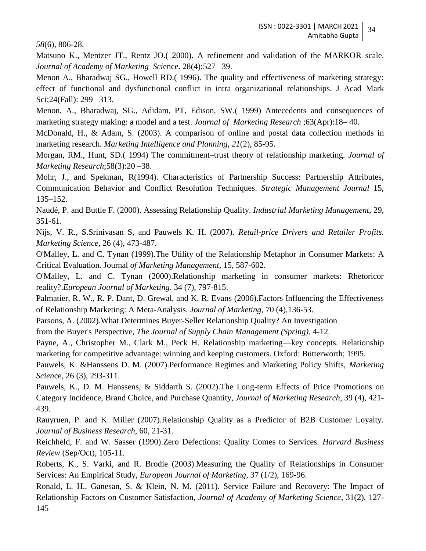*58*(6), 806-28.

Matsuno K., Mentzer JT., Rentz JO.( 2000). A refinement and validation of the MARKOR scale. *Journal of Academy of Marketing Sci*ence. 28(4):527– 39.

Menon A., Bharadwaj SG., Howell RD.( 1996). The quality and effectiveness of marketing strategy: effect of functional and dysfunctional conflict in intra organizational relationships. J Acad Mark Sci;24(Fall): 299– 313.

Menon, A., Bharadwaj, SG., Adidam, PT, Edison, SW.( 1999) Antecedents and consequences of marketing strategy making: a model and a test. *Journal of Marketing Research* ;63(Apr):18– 40.

McDonald, H., & Adam, S. (2003). A comparison of online and postal data collection methods in marketing research. *Marketing Intelligence and Planning, 21*(2), 85-95.

Morgan, RM., Hunt, SD.( 1994) The commitment–trust theory of relationship marketing. *Journal of Marketing Research*;58(3):20 –38.

Mohr, J., and Spekman, R(1994). Characteristics of Partnership Success: Partnership Attributes, Communication Behavior and Conflict Resolution Techniques. *Strategic Management Journal* 15, 135–152.

Naudé, P. and Buttle F. (2000). Assessing Relationship Quality. *Industrial Marketing Management*, 29, 351-61.

Nijs, V. R., S.Srinivasan S, and Pauwels K. H. (2007). *Retail-price Drivers and Retailer Profits. Marketing Science*, 26 (4), 473-487.

O'Malley, L. and C. Tynan (1999).The Utility of the Relationship Metaphor in Consumer Markets: A Critical Evaluation. Journal *of Marketing Management*, 15, 587-602.

O'Malley, L. and C. Tynan (2000).Relationship marketing in consumer markets: Rhetoricor reality?.*European Journal of Marketing*. 34 (7), 797-815.

Palmatier, R. W., R. P. Dant, D. Grewal, and K. R. Evans (2006).Factors Influencing the Effectiveness of Relationship Marketing: A Meta-Analysis. *Journal of Marketing*, 70 (4),136-53.

Parsons, A. (2002).What Determines Buyer-Seller Relationship Quality? An Investigation

from the Buyer's Perspective, *The Journal of Supply Chain Management (Spring)*, 4-12.

Payne, A., Christopher M., Clark M., Peck H. Relationship marketing—key concepts. Relationship marketing for competitive advantage: winning and keeping customers. Oxford: Butterworth; 1995.

Pauwels, K. &Hanssens D. M. (2007).Performance Regimes and Marketing Policy Shifts, *Marketing Scien*ce, 26 (3), 293-311.

Pauwels, K., D. M. Hanssens, & Siddarth S. (2002).The Long-term Effects of Price Promotions on Category Incidence, Brand Choice, and Purchase Quantity, *Journal of Marketing Research*, 39 (4), 421- 439.

Rauyruen, P. and K. Miller (2007).Relationship Quality as a Predictor of B2B Customer Loyalty. *Journal of Business Research*, 60, 21-31.

Reichheld, F. and W. Sasser (1990).Zero Defections: Quality Comes to Services. *Harvard Business Review* (Sep/Oct), 105-11.

Roberts, K., S. Varki, and R. Brodie (2003).Measuring the Quality of Relationships in Consumer Services: An Empirical Study, *European Journal of Marketing*, 37 (1/2), 169-96.

Ronald, L. H., Ganesan, S. & Klein, N. M. (2011). Service Failure and Recovery: The Impact of Relationship Factors on Customer Satisfaction, *Journal of Academy of Marketing Science*, 31(2), 127- 145